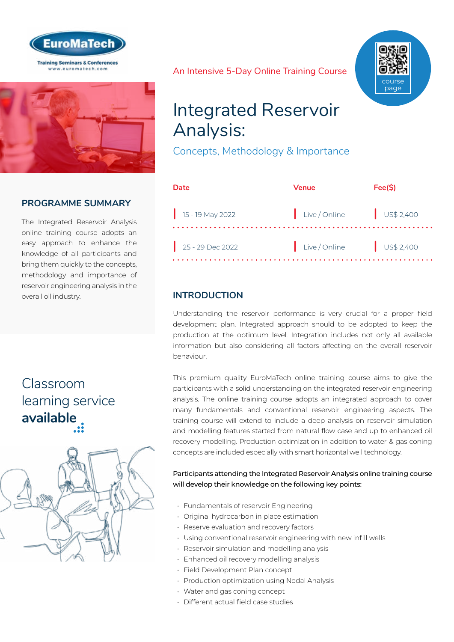



### **PROGRAMME SUMMARY**

The Integrated Reservoir Analysis online training course adopts an easy approach to enhance the knowledge of all participants and bring them quickly to the concepts, methodology and importance of reservoir engineering analysis in the overall oil industry.

# Classroom [learning service](https://www.euromatech.com/seminars/integrated-reservoir-analysis/)  **available**



An Intensive 5-Day Online Training Course



# Integrated Reservoir Analysis:

Concepts, Methodology & Importance

| Date               | Venue         | Fee(S)               |
|--------------------|---------------|----------------------|
| $15 - 19$ May 2022 | Live / Online | US\$2,400            |
| $25 - 29$ Dec 2022 | Live / Online | $\bigcup$ US\$ 2,400 |

# **INTRODUCTION**

Understanding the reservoir performance is very crucial for a proper field development plan. Integrated approach should to be adopted to keep the production at the optimum level. Integration includes not only all available information but also considering all factors affecting on the overall reservoir behaviour.

This premium quality EuroMaTech online training course aims to give the participants with a solid understanding on the integrated reservoir engineering analysis. The online training course adopts an integrated approach to cover many fundamentals and conventional reservoir engineering aspects. The training course will extend to include a deep analysis on reservoir simulation and modelling features started from natural flow case and up to enhanced oil recovery modelling. Production optimization in addition to water & gas coning concepts are included especially with smart horizontal well technology.

Participants attending the Integrated Reservoir Analysis online training course will develop their knowledge on the following key points:

- Fundamentals of reservoir Engineering
- Original hydrocarbon in place estimation
- Reserve evaluation and recovery factors
- Using conventional reservoir engineering with new infill wells
- Reservoir simulation and modelling analysis
- Enhanced oil recovery modelling analysis
- Field Development Plan concept
- Production optimization using Nodal Analysis
- Water and gas coning concept
- Different actual field case studies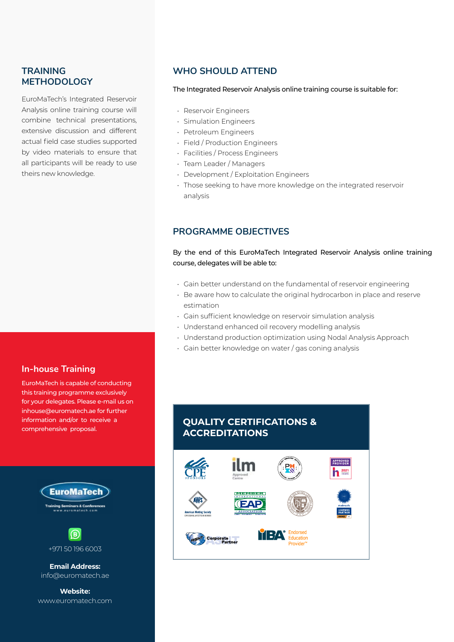### **TRAINING METHODOLOGY**

EuroMaTech's Integrated Reservoir Analysis online training course will combine technical presentations, extensive discussion and different actual field case studies supported by video materials to ensure that all participants will be ready to use theirs new knowledge.

#### **In-house Training**

EuroMaTech is capable of conducting this training programme exclusively for your delegates. Please e-mail us on inhouse@euromatech.ae for further information and/or to receive a comprehensive proposal.





**Email Address:** info@euromatech.ae

**Website:** www.euromatech.com

### **WHO SHOULD ATTEND**

#### The Integrated Reservoir Analysis online training course is suitable for:

- Reservoir Engineers
- Simulation Engineers
- Petroleum Engineers
- Field / Production Engineers
- Facilities / Process Engineers
- Team Leader / Managers
- Development / Exploitation Engineers
- Those seeking to have more knowledge on the integrated reservoir analysis

### **PROGRAMME OBJECTIVES**

#### By the end of this EuroMaTech Integrated Reservoir Analysis online training course, delegates will be able to:

- Gain better understand on the fundamental of reservoir engineering
- Be aware how to calculate the original hydrocarbon in place and reserve estimation
- Gain sufficient knowledge on reservoir simulation analysis
- Understand enhanced oil recovery modelling analysis
- Understand production optimization using Nodal Analysis Approach
- Gain better knowledge on water / gas coning analysis

# **QUALITY CERTIFICATIONS & ACCREDITATIONS**

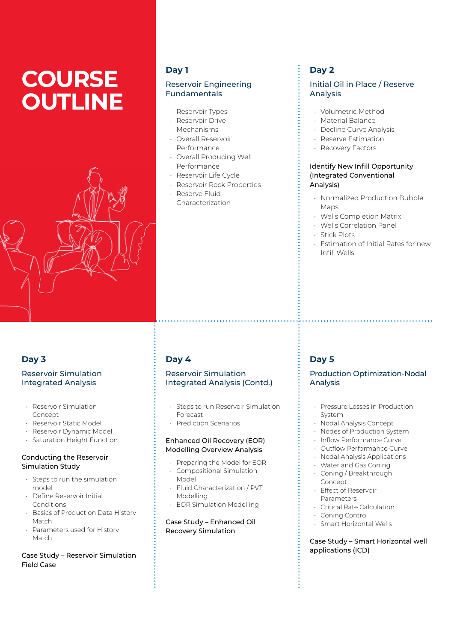# **COURSE OUTLINE**



### **Day 1**

### Reservoir Engineering Fundamentals

- Reservoir Types • Reservoir Drive
- Mechanisms
- Overall Reservoir Performance
- Overall Producing Well Performance
- Reservoir Life Cycle
- Reservoir Rock Properties • Reserve Fluid Characterization

# **Day 2**

### Initial Oil in Place / Reserve Analysis

- Volumetric Method
- Material Balance
- Decline Curve Analysis
- Reserve Estimation
- Recovery Factors

#### Identify New Infill Opportunity (Integrated Conventional Analysis)

- Normalized Production Bubble Maps
- Wells Completion Matrix
- Wells Correlation Panel
- Stick Plots
- Estimation of Initial Rates for new Infill Wells

# **Day 3**

#### Reservoir Simulation Integrated Analysis

- Reservoir Simulation Concept
- Reservoir Static Model
- Reservoir Dynamic Model
- Saturation Height Function

#### Conducting the Reservoir Simulation Study

- Steps to run the simulation model
- Define Reservoir Initial Conditions
- Basics of Production Data History Match
- Parameters used for History Match

#### Case Study – Reservoir Simulation Field Case

# **Day 4**

#### Reservoir Simulation Integrated Analysis (Contd.)

- Steps to run Reservoir Simulation Forecast
- Prediction Scenarios

#### Enhanced Oil Recovery (EOR) Modelling Overview Analysis

- Preparing the Model for EOR • Compositional Simulation
- Model • Fluid Characterization / PVT
- Modelling • EOR Simulation Modelling

#### Case Study – Enhanced Oil Recovery Simulation

# **Day 5**

#### Production Optimization-Nodal Analysis

- Pressure Losses in Production System
- Nodal Analysis Concept
- Nodes of Production System
- Inflow Performance Curve
- Outflow Performance Curve
- Nodal Analysis Applications
- Water and Gas Coning • Coning / Breakthrough
- Concept
- Effect of Reservoir Parameters
- Critical Rate Calculation
- Coning Control
- Smart Horizontal Wells

#### Case Study – Smart Horizontal well applications (ICD)